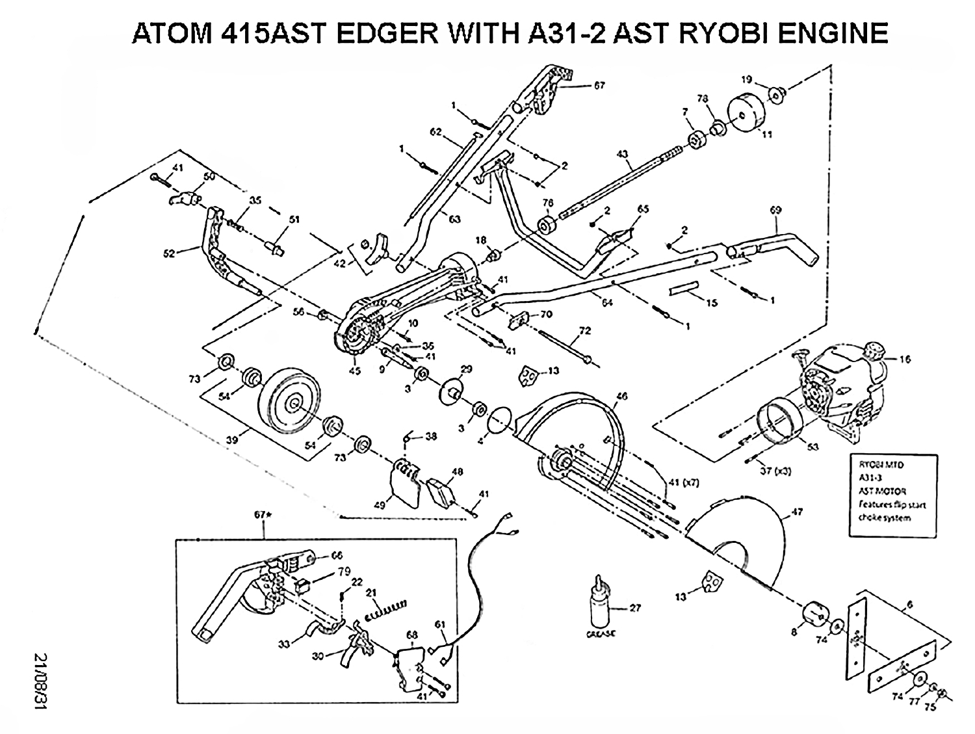## ATOM 415AST EDGER WITH A31-2 AST RYOBI ENGINE